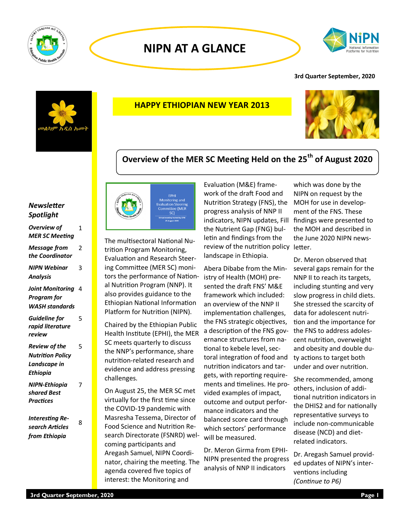

# **NIPN AT A GLANCE**



### **3rd Quarter September, 2020**



## **HAPPY ETHIOPIAN NEW YEAR 2013**



# **Overview of the MER SC Meeting Held on the 25th of August 2020**

### *Newsletter Spotlight*

| <b>Overview of</b><br><b>MER SC Meeting</b>                          | 1 |
|----------------------------------------------------------------------|---|
| Message from<br>the Coordinator                                      | 2 |
| <b>NIPN Webinar</b><br>Analysis                                      | 3 |
| Joint Monitoring<br><b>Program</b> for<br><b>WASH standards</b>      | 4 |
| <b>Guideline for</b><br>rapid literature<br>review                   | 5 |
| Review of the<br><b>Nutrition Policy</b><br>Landscape in<br>Ethiopia | 5 |
| <b>NIPN-Ethiopia</b><br>shared Best<br><b>Practices</b>              | 7 |
| <b>Interesting Re-</b>                                               | 8 |

*search Articles from Ethiopia*



The multisectoral National Nutrition Program Monitoring, Evaluation and Research Steering Committee (MER SC) monitors the performance of National Nutrition Program (NNP). It also provides guidance to the Ethiopian National Information Platform for Nutrition (NIPN).

Chaired by the Ethiopian Public Health Institute (EPHI), the MER SC meets quarterly to discuss the NNP's performance, share nutrition-related research and evidence and address pressing challenges.

On August 25, the MER SC met virtually for the first time since the COVID-19 pandemic with Masresha Tessema, Director of Food Science and Nutrition Research Directorate (FSNRD) welcoming participants and Aregash Samuel, NIPN Coordinator, chairing the meeting. The agenda covered five topics of interest: the Monitoring and

Evaluation (M&E) framework of the draft Food and Nutrition Strategy (FNS), the progress analysis of NNP II indicators, NIPN updates, Fill findings were presented to the Nutrient Gap (FNG) bulletin and findings from the review of the nutrition policy letter. landscape in Ethiopia.

Abera Dibabe from the Ministry of Health (MOH) presented the draft FNS' M&E framework which included: an overview of the NNP II implementation challenges, the FNS strategic objectives, a description of the FNS governance structures from national to kebele level, sectoral integration of food and nutrition indicators and targets, with reporting requirements and timelines. He provided examples of impact, outcome and output performance indicators and the balanced score card through which sectors' performance will be measured.

Dr. Meron Girma from EPHI-NIPN presented the progress analysis of NNP II indicators

which was done by the NIPN on request by the MOH for use in development of the FNS. These the MOH and described in the June 2020 NIPN news-

Dr. Meron observed that several gaps remain for the NNP II to reach its targets, including stunting and very slow progress in child diets. She stressed the scarcity of data for adolescent nutrition and the importance for the FNS to address adolescent nutrition, overweight and obesity and double duty actions to target both under and over nutrition.

She recommended, among others, inclusion of additional nutrition indicators in the DHIS2 and for nationally representative surveys to include non-communicable disease (NCD) and dietrelated indicators.

Dr. Aregash Samuel provided updates of NIPN's interventions including *(Continue to P6)*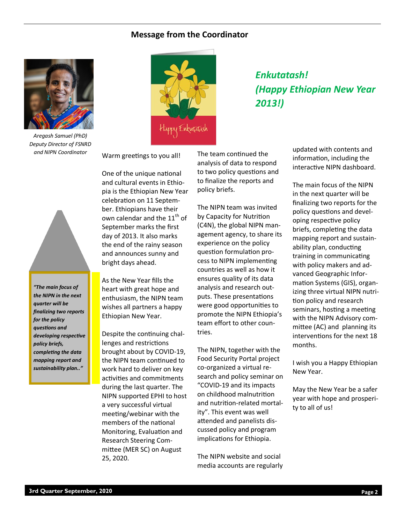### **Message from the Coordinator**



*Aregash Samuel (PhD) Deputy Director of FSNRD and NIPN Coordinator*

*"The main focus of the NIPN in the next quarter will be finaliiing two reports for the policy questions and developing respective* 

*policy briefs, completing the data mapping report and sustainability plan.."*



# *Enkutatash! (Happy Ethiopian New Year 2013!)*

Warm greetings to you all!

One of the unique national and cultural events in Ethiopia is the Ethiopian New Year celebration on 11 September. Ethiopians have their own calendar and the  $11<sup>th</sup>$  of September marks the first day of 2013. It also marks the end of the rainy season and announces sunny and bright days ahead.

As the New Year fills the heart with great hope and enthusiasm, the NIPN team wishes all partners a happy Ethiopian New Year.

Despite the continuing challenges and restrictions brought about by COVID-19, the NIPN team continued to work hard to deliver on key activities and commitments during the last quarter. The NIPN supported EPHI to host a very successful virtual meeting/webinar with the members of the national Monitoring, Evaluation and Research Steering Committee (MER SC) on August 25, 2020.

The team continued the analysis of data to respond to two policy questions and to finalize the reports and policy briefs.

The NIPN team was invited by Capacity for Nutrition (C4N), the global NIPN management agency, to share its experience on the policy question formulation process to NIPN implementing countries as well as how it ensures quality of its data analysis and research outputs. These presentations were good opportunities to promote the NIPN Ethiopia's team effort to other countries.

The NIPN, together with the Food Security Portal project co-organized a virtual research and policy seminar on "COVID-19 and its impacts on childhood malnutrition and nutrition-related mortality". This event was well attended and panelists discussed policy and program implications for Ethiopia.

The NIPN website and social media accounts are regularly

updated with contents and information, including the interactive NIPN dashboard.

The main focus of the NIPN in the next quarter will be finalizing two reports for the policy questions and developing respective policy briefs, completing the data mapping report and sustainability plan, conducting training in communicating with policy makers and advanced Geographic Information Systems (GIS), organizing three virtual NIPN nutrition policy and research seminars, hosting a meeting with the NIPN Advisory committee (AC) and planning its interventions for the next 18 months.

I wish you a Happy Ethiopian New Year.

May the New Year be a safer year with hope and prosperity to all of us!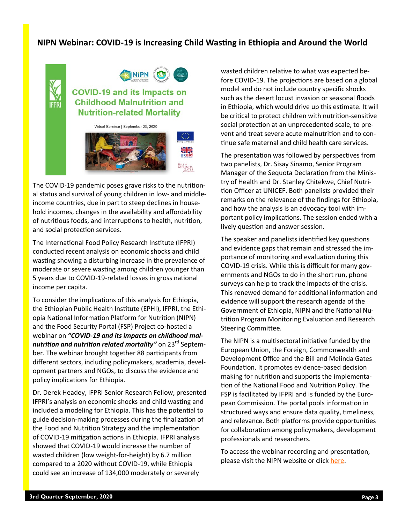# **NIPN Webinar: COVID-19 is Increasing Child Wasting in Ethiopia and Around the World**



# **COVID-19 and its Impacts on Childhood Malnutrition and Nutrition-related Mortality**

NIPN **E** 

Virtual Seminar I September 23, 2020

The COVID-19 pandemic poses grave risks to the nutritional status and survival of young children in low- and middleincome countries, due in part to steep declines in household incomes, changes in the availability and affordability of nutritious foods, and interruptions to health, nutrition, and social protection services.

The International Food Policy Research Institute [\(IFPRI\)](http://www.ifpri.org)  conducted recent analysis on economic shocks and child wasting showing a disturbing increase in the prevalence of moderate or severe wasting among children younger than 5 years due to COVID-19-related losses in gross national income per capita.

To consider the implications of this analysis for Ethiopia, the [Ethiopian Public Health Institute \(EPHI\),](https://www.ephi.gov.et/) [IFPRI,](http://www.ifpri.org) the [Ethi](http://www.nipn-nutrition-platforms.org/Ethiopia)[opia National Information Platform for Nutrition \(NIPN\)](http://www.nipn-nutrition-platforms.org/Ethiopia)  and the [Food Security Portal \(FSP\) P](http://www.foodsecurityportal.org/)roject co-hosted a webinar on *"COVID-19 and its impacts on childhood malnutrition and nutrition related mortality<sup>"</sup> on 23<sup>rd</sup> Septem*ber. The webinar brought together 88 participants from different sectors, including policymakers, academia, development partners and NGOs, to discuss the evidence and policy implications for Ethiopia.

Dr. Derek Headey, IFPRI Senior Research Fellow, presented IFPRI'[s analysis o](https://www.ifpri.org/publication/impacts-covid-19-childhood-malnutrition-and-nutrition-related-mortality)n economic shocks and child wasting and included a modeling for Ethiopia. This has the potential to guide decision-making processes during the finalization of the Food and Nutrition Strategy and the implementation of COVID-19 mitigation actions in Ethiopia. IFPRI analysis showed that COVID-19 would increase the number of wasted children (low weight-for-height) by 6.7 million compared to a 2020 without COVID-19, while Ethiopia could see an increase of 134,000 moderately or severely

wasted children relative to what was expected before COVID-19. The projections are based on a global model and do not include country specific shocks such as the desert locust invasion or seasonal floods in Ethiopia, which would drive up this estimate. It will be critical to protect children with nutrition-sensitive social protection at an unprecedented scale, to prevent and treat severe acute malnutrition and to continue safe maternal and child health care services.

The presentation was followed by perspectives from two panelists, Dr. Sisay Sinamo, Senior Program Manager of the Sequota Declaration from the Ministry of Health and Dr. Stanley Chitekwe, Chief Nutrition Officer at UNICEF. Both panelists provided their remarks on the relevance of the findings for Ethiopia, and how the analysis is an advocacy tool with important policy implications. The session ended with a lively question and answer session.

The speaker and panelists identified key questions and evidence gaps that remain and stressed the importance of monitoring and evaluation during this COVID-19 crisis. While this is difficult for many governments and NGOs to do in the short run, phone surveys can help to track the impacts of the crisis. This renewed demand for additional information and evidence will support the research agenda of the Government of Ethiopia, NIPN and the National Nutrition Program Monitoring Evaluation and Research Steering Committee.

The NIPN is a multisectoral initiative funded by the European Union, the Foreign, Commonwealth and Development Office and the Bill and Melinda Gates Foundation. It promotes evidence-based decision making for nutrition and supports the implementation of the National Food and Nutrition Policy. The FSP is facilitated by IFPRI and is funded by the European Commission. The portal pools information in structured ways and ensure data quality, timeliness, and relevance. Both platforms provide opportunities for collaboration among policymakers, development professionals and researchers.

To access the webinar recording and presentation, please visit the NIPN website or click [here.](http://www.nipn.ephi.gov.et/sites/default/files/inline-files/COVID%20and%20wasting%2023rd%20Sept%20-BLOG-NIPN-final.pdf)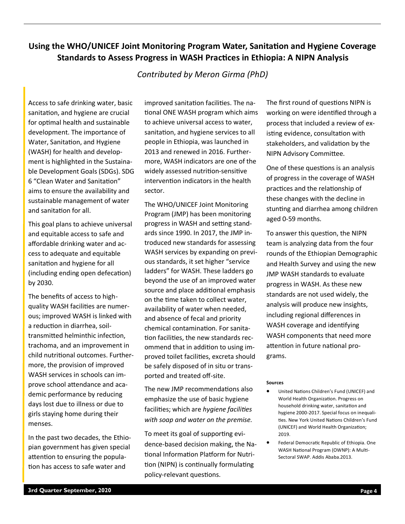# **Using the WHO/UNICEF Joint Monitoring Program Water, Sanitation and Hygiene Coverage Standards to Assess Progress in WASH Practices in Ethiopia: A NIPN Analysis**

# *Contributed by Meron Girma (PhD)*

Access to safe drinking water, basic sanitation, and hygiene are crucial for optimal health and sustainable development. The importance of Water, Sanitation, and Hygiene (WASH) for health and development is highlighted in the Sustainable Development Goals (SDGs). SDG 6 "Clean Water and Sanitation" aims to ensure the availability and sustainable management of water and sanitation for all.

This goal plans to achieve universal and equitable access to safe and affordable drinking water and access to adequate and equitable sanitation and hygiene for all (including ending open defecation) by 2030.

The benefits of access to highquality WASH facilities are numerous; improved WASH is linked with a reduction in diarrhea, soiltransmitted helminthic infection, trachoma, and an improvement in child nutritional outcomes. Furthermore, the provision of improved WASH services in schools can improve school attendance and academic performance by reducing days lost due to illness or due to girls staying home during their menses.

In the past two decades, the Ethiopian government has given special attention to ensuring the population has access to safe water and

improved sanitation facilities. The national ONE WASH program which aims to achieve universal access to water, sanitation, and hygiene services to all people in Ethiopia, was launched in 2013 and renewed in 2016. Furthermore, WASH indicators are one of the widely assessed nutrition-sensitive intervention indicators in the health sector.

The WHO/UNICEF Joint Monitoring Program (JMP) has been monitoring progress in WASH and setting standards since 1990. In 2017, the JMP introduced new standards for assessing WASH services by expanding on previous standards, it set higher "service ladders" for WASH. These ladders go beyond the use of an improved water source and place additional emphasis on the time taken to collect water, availability of water when needed, and absence of fecal and priority chemical contamination. For sanitation facilities, the new standards recommend that in addition to using improved toilet facilities, excreta should be safely disposed of in situ or transported and treated off-site.

The new JMP recommendations also emphasize the use of basic hygiene facilities; which are *hygiene facilities with soap and water on the premise.*

To meet its goal of supporting evidence-based decision making, the National Information Platform for Nutrition (NIPN) is continually formulating policy-relevant questions.

The first round of questions NIPN is working on were identified through a process that included a review of existing evidence, consultation with stakeholders, and validation by the NIPN Advisory Committee.

One of these questions is an analysis of progress in the coverage of WASH practices and the relationship of these changes with the decline in stunting and diarrhea among children aged 0-59 months.

To answer this question, the NIPN team is analyzing data from the four rounds of the Ethiopian Demographic and Health Survey and using the new JMP WASH standards to evaluate progress in WASH. As these new standards are not used widely, the analysis will produce new insights, including regional differences in WASH coverage and identifying WASH components that need more attention in future national programs.

#### **Sources**

- United Nations Children's Fund (UNICEF) and World Health Organization. Progress on household drinking water, sanitation and hygiene 2000-2017. Special focus on inequalities. New York United Nations Children's Fund (UNICEF) and World Health Organization; 2019.
- Federal Democratic Republic of Ethiopia. One WASH National Program (OWNP): A Multi-Sectoral SWAP. Addis Ababa.2013.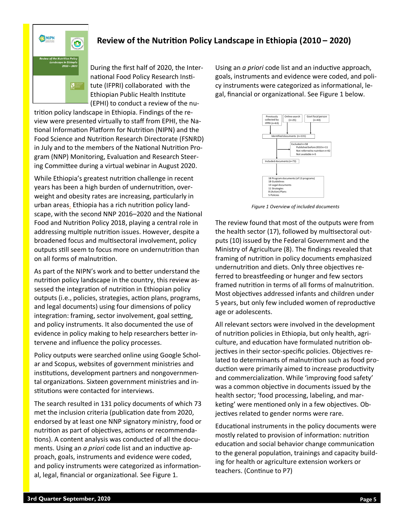

# **Review of the Nutrition Policy Landscape in Ethiopia (2010 – 2020)**

During the first half of 2020, the International Food Policy Research Institute (IFPRI) collaborated with the Ethiopian Public Health Institute (EPHI) to conduct a review of the nu-

trition policy landscape in Ethiopia. Findings of the review were presented virtually to staff from EPHI, the National Information Platform for Nutrition (NIPN) and the Food Science and Nutrition Research Directorate (FSNRD) in July and to the members of the National Nutrition Program (NNP) Monitoring, Evaluation and Research Steering Committee during a virtual webinar in August 2020.

While Ethiopia's greatest nutrition challenge in recent years has been a high burden of undernutrition, overweight and obesity rates are increasing, particularly in urban areas. Ethiopia has a rich nutrition policy landscape, with the second NNP 2016–2020 and the National Food and Nutrition Policy 2018, playing a central role in addressing multiple nutrition issues. However, despite a broadened focus and multisectoral involvement, policy outputs still seem to focus more on undernutrition than on all forms of malnutrition.

As part of the NIPN's work and to better understand the nutrition policy landscape in the country, this review assessed the integration of nutrition in Ethiopian policy outputs (i.e., policies, strategies, action plans, programs, and legal documents) using four dimensions of policy integration: framing, sector involvement, goal setting, and policy instruments. It also documented the use of evidence in policy making to help researchers better intervene and influence the policy processes.

Policy outputs were searched online using Google Scholar and Scopus, websites of government ministries and institutions, development partners and nongovernmental organizations. Sixteen government ministries and institutions were contacted for interviews.

The search resulted in 131 policy documents of which 73 met the inclusion criteria (publication date from 2020, endorsed by at least one NNP signatory ministry, food or nutrition as part of objectives, actions or recommendations). A content analysis was conducted of all the documents. Using an *a priori* code list and an inductive approach, goals, instruments and evidence were coded, and policy instruments were categorized as informational, legal, financial or organizational. See Figure 1.

Using an *a priori* code list and an inductive approach, goals, instruments and evidence were coded, and policy instruments were categorized as informational, legal, financial or organizational. See Figure 1 below.



*Figure 1 Overview of included documents*

The review found that most of the outputs were from the health sector (17), followed by multisectoral outputs (10) issued by the Federal Government and the Ministry of Agriculture (8). The findings revealed that framing of nutrition in policy documents emphasized undernutrition and diets. Only three objectives referred to breastfeeding or hunger and few sectors framed nutrition in terms of all forms of malnutrition. Most objectives addressed infants and children under 5 years, but only few included women of reproductive age or adolescents.

All relevant sectors were involved in the development of nutrition policies in Ethiopia, but only health, agriculture, and education have formulated nutrition objectives in their sector-specific policies. Objectives related to determinants of malnutrition such as food production were primarily aimed to increase productivity and commercialization. While 'improving food safety' was a common objective in documents issued by the health sector; 'food processing, labeling, and marketing' were mentioned only in a few objectives. Objectives related to gender norms were rare.

Educational instruments in the policy documents were mostly related to provision of information: nutrition education and social behavior change communication to the general population, trainings and capacity building for health or agriculture extension workers or teachers. (Continue to P7)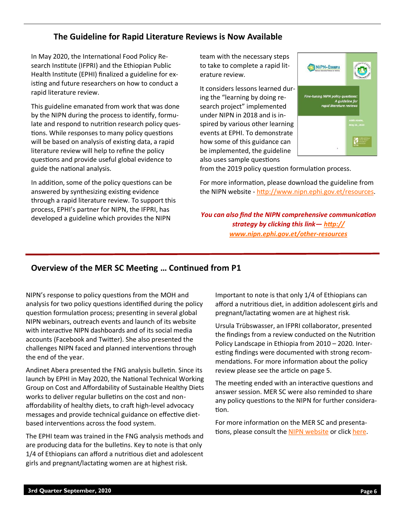# **The Guideline for Rapid Literature Reviews is Now Available**

In May 2020, the International Food Policy Research Institute (IFPRI) and the Ethiopian Public Health Institute (EPHI) finalized a guideline for existing and future researchers on how to conduct a rapid literature review.

This guideline emanated from work that was done by the NIPN during the process to identify, formulate and respond to nutrition research policy questions. While responses to many policy questions will be based on analysis of existing data, a rapid literature review will help to refine the policy questions and provide useful global evidence to guide the national analysis.

In addition, some of the policy questions can be answered by synthesizing existing evidence through a rapid literature review. To support this process, EPHI's partner for NIPN, the IFPRI, has developed a guideline which provides the NIPN

team with the necessary steps to take to complete a rapid literature review.

It considers lessons learned during the "learning by doing research project" implemented under NIPN in 2018 and is inspired by various other learning events at EPHI. To demonstrate how some of this guidance can be implemented, the guideline also uses sample questions



from the 2019 policy question formulation process.

For more information, please download the guideline from the NIPN website - [http://www.nipn.ephi.gov.et/resources.](http://www.nipn.ephi.gov.et/resources)

*You can also find the NIPN comprehensive communication strategy by clicking this link— [http://](http://www.nipn.ephi.gov.et/other-resources) [www.nipn.ephi.gov.et/other](http://www.nipn.ephi.gov.et/other-resources)-resources*

### **Overview of the MER SC Meeting … Continued from P1**

NIPN's response to policy questions from the MOH and analysis for two policy questions identified during the policy question formulation process; presenting in several global NIPN webinars, outreach events and launch of its website with interactive NIPN dashboards and of its social media accounts (Facebook and Twitter). She also presented the challenges NIPN faced and planned interventions through the end of the year.

Andinet Abera presented the FNG analysis bulletin. Since its launch by EPHI in May 2020, the National Technical Working Group on Cost and Affordability of Sustainable Healthy Diets works to deliver regular bulletins on the cost and nonaffordability of healthy diets, to craft high-level advocacy messages and provide technical guidance on effective dietbased interventions across the food system.

The EPHI team was trained in the FNG analysis methods and are producing data for the bulletins. Key to note is that only 1/4 of Ethiopians can afford a nutritious diet and adolescent girls and pregnant/lactating women are at highest risk.

Important to note is that only 1/4 of Ethiopians can afford a nutritious diet, in addition adolescent girls and pregnant/lactating women are at highest risk.

Ursula Trübswasser, an IFPRI collaborator, presented the findings from a review conducted on the Nutrition Policy Landscape in Ethiopia from 2010 – 2020. Interesting findings were documented with strong recommendations. For more information about the policy review please see the article on page 5.

The meeting ended with an interactive questions and answer session. MER SC were also reminded to share any policy questions to the NIPN for further consideration.

For more information on the MER SC and presentations, please consult the [NIPN website](http://www.nipn.ephi.gov.et/node/164) or click [here.](http://www.nipn.ephi.gov.et/sites/default/files/inline-files/MERSC%20meeting_combined_25%20Aug%202020_Final_1.pdf)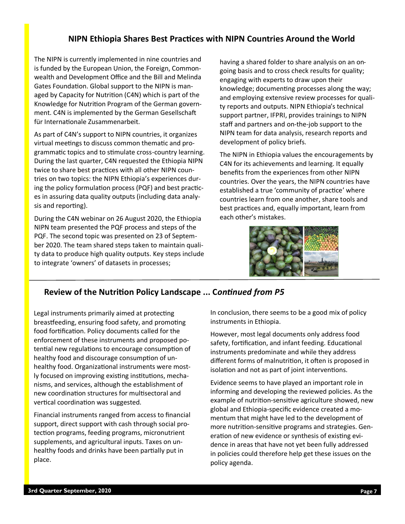## **NIPN Ethiopia Shares Best Practices with NIPN Countries Around the World**

The NIPN is currently implemented in nine countries and is funded by the European Union, the Foreign, Commonwealth and Development Office and the Bill and Melinda Gates Foundation. Global support to the NIPN is managed by Capacity for Nutrition (C4N) which is part of the Knowledge for Nutrition Program of the German government. C4N is implemented by the German Gesellschaft für Internationale Zusammenarbeit.

As part of C4N's support to NIPN countries, it organizes virtual meetings to discuss common thematic and programmatic topics and to stimulate cross-country learning. During the last quarter, C4N requested the Ethiopia NIPN twice to share best practices with all other NIPN countries on two topics: the NIPN Ethiopia's experiences during the policy formulation process (PQF) and best practices in assuring data quality outputs (including data analysis and reporting).

During the C4N webinar on 26 August 2020, the Ethiopia NIPN team presented the PQF process and steps of the PQF. The second topic was presented on 23 of September 2020. The team shared steps taken to maintain quality data to produce high quality outputs. Key steps include to integrate 'owners' of datasets in processes;

having a shared folder to share analysis on an ongoing basis and to cross check results for quality; engaging with experts to draw upon their knowledge; documenting processes along the way; and employing extensive review processes for quality reports and outputs. NIPN Ethiopia's technical support partner, IFPRI, provides trainings to NIPN staff and partners and on-the-job support to the NIPN team for data analysis, research reports and development of policy briefs.

The NIPN in Ethiopia values the encouragements by C4N for its achievements and learning. It equally benefits from the experiences from other NIPN countries. Over the years, the NIPN countries have established a true 'community of practice' where countries learn from one another, share tools and best practices and, equally important, learn from each other's mistakes.



# **Review of the Nutrition Policy Landscape ... C***ontinued from P5*

Legal instruments primarily aimed at protecting breastfeeding, ensuring food safety, and promoting food fortification. Policy documents called for the enforcement of these instruments and proposed potential new regulations to encourage consumption of healthy food and discourage consumption of unhealthy food. Organizational instruments were mostly focused on improving existing institutions, mechanisms, and services, although the establishment of new coordination structures for multisectoral and vertical coordination was suggested.

Financial instruments ranged from access to financial support, direct support with cash through social protection programs, feeding programs, micronutrient supplements, and agricultural inputs. Taxes on unhealthy foods and drinks have been partially put in place.

In conclusion, there seems to be a good mix of policy instruments in Ethiopia.

However, most legal documents only address food safety, fortification, and infant feeding. Educational instruments predominate and while they address different forms of malnutrition, it often is proposed in isolation and not as part of joint interventions.

Evidence seems to have played an important role in informing and developing the reviewed policies. As the example of nutrition-sensitive agriculture showed, new global and Ethiopia-specific evidence created a momentum that might have led to the development of more nutrition-sensitive programs and strategies. Generation of new evidence or synthesis of existing evidence in areas that have not yet been fully addressed in policies could therefore help get these issues on the policy agenda.